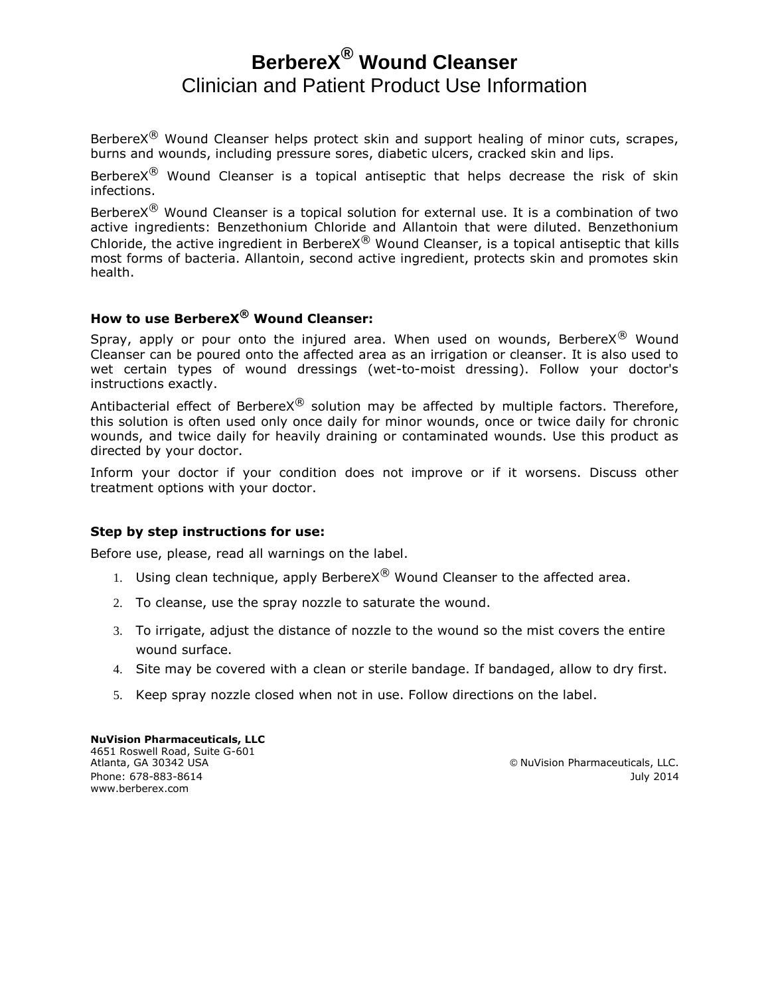# **BerbereX® Wound Cleanser** Clinician and Patient Product Use Information

Berbere $X^{(8)}$  Wound Cleanser helps protect skin and support healing of minor cuts, scrapes, burns and wounds, including pressure sores, diabetic ulcers, cracked skin and lips.

Berbere $X^{(8)}$  Wound Cleanser is a topical antiseptic that helps decrease the risk of skin infections.

BerbereX $^{\circledR}$  Wound Cleanser is a topical solution for external use. It is a combination of two active ingredients: Benzethonium Chloride and Allantoin that were diluted. Benzethonium Chloride, the active ingredient in Berbere $X^{\textcircled{R}}$  Wound Cleanser, is a topical antiseptic that kills most forms of bacteria. Allantoin, second active ingredient, protects skin and promotes skin health.

## **How to use BerbereX® Wound Cleanser:**

Spray, apply or pour onto the injured area. When used on wounds, Berbere $X^{\textcircled{8}}$  Wound Cleanser can be poured onto the affected area as an irrigation or cleanser. It is also used to wet certain types of wound dressings (wet-to-moist dressing). Follow your doctor's instructions exactly.

Antibacterial effect of Berbere $X^{\textcircled{B}}$  solution may be affected by multiple factors. Therefore, this solution is often used only once daily for minor wounds, once or twice daily for chronic wounds, and twice daily for heavily draining or contaminated wounds. Use this product as directed by your doctor.

Inform your doctor if your condition does not improve or if it worsens. Discuss other treatment options with your doctor.

#### **Step by step instructions for use:**

Before use, please, read all warnings on the label.

- 1. Using clean technique, apply Berbere $X^{\circledR}$  Wound Cleanser to the affected area.
- 2. To cleanse, use the spray nozzle to saturate the wound.
- 3. To irrigate, adjust the distance of nozzle to the wound so the mist covers the entire wound surface.
- 4. Site may be covered with a clean or sterile bandage. If bandaged, allow to dry first.
- 5. Keep spray nozzle closed when not in use. Follow directions on the label.

**NuVision Pharmaceuticals, LLC** 4651 Roswell Road, Suite G-601 Phone: 678-883-8614 July 2014 www.berberex.com

 $@$  NuVision Pharmaceuticals, LLC.